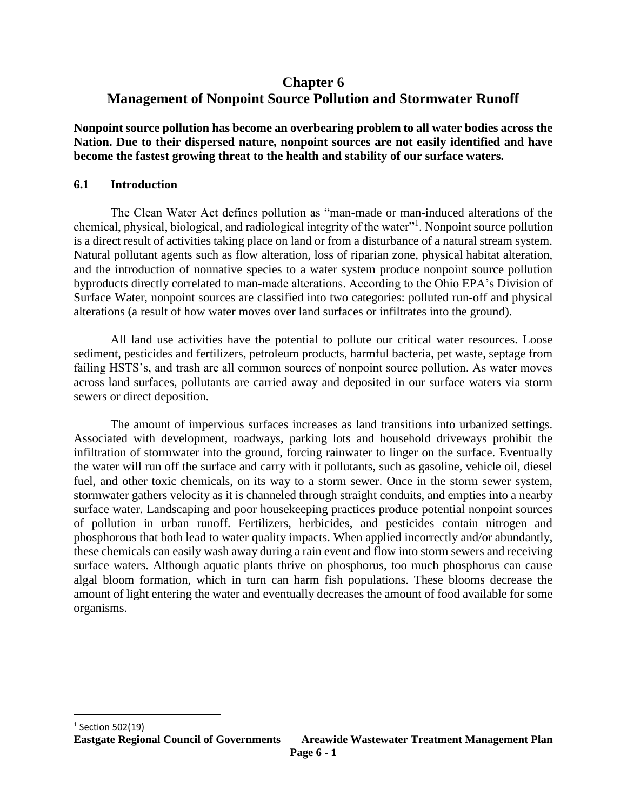# **Chapter 6 Management of Nonpoint Source Pollution and Stormwater Runoff**

**Nonpoint source pollution has become an overbearing problem to all water bodies across the Nation. Due to their dispersed nature, nonpoint sources are not easily identified and have become the fastest growing threat to the health and stability of our surface waters.**

# **6.1 Introduction**

The Clean Water Act defines pollution as "man-made or man-induced alterations of the chemical, physical, biological, and radiological integrity of the water"<sup>1</sup>. Nonpoint source pollution is a direct result of activities taking place on land or from a disturbance of a natural stream system. Natural pollutant agents such as flow alteration, loss of riparian zone, physical habitat alteration, and the introduction of nonnative species to a water system produce nonpoint source pollution byproducts directly correlated to man-made alterations. According to the Ohio EPA's Division of Surface Water, nonpoint sources are classified into two categories: polluted run-off and physical alterations (a result of how water moves over land surfaces or infiltrates into the ground).

All land use activities have the potential to pollute our critical water resources. Loose sediment, pesticides and fertilizers, petroleum products, harmful bacteria, pet waste, septage from failing HSTS's, and trash are all common sources of nonpoint source pollution. As water moves across land surfaces, pollutants are carried away and deposited in our surface waters via storm sewers or direct deposition.

The amount of impervious surfaces increases as land transitions into urbanized settings. Associated with development, roadways, parking lots and household driveways prohibit the infiltration of stormwater into the ground, forcing rainwater to linger on the surface. Eventually the water will run off the surface and carry with it pollutants, such as gasoline, vehicle oil, diesel fuel, and other toxic chemicals, on its way to a storm sewer. Once in the storm sewer system, stormwater gathers velocity as it is channeled through straight conduits, and empties into a nearby surface water. Landscaping and poor housekeeping practices produce potential nonpoint sources of pollution in urban runoff. Fertilizers, herbicides, and pesticides contain nitrogen and phosphorous that both lead to water quality impacts. When applied incorrectly and/or abundantly, these chemicals can easily wash away during a rain event and flow into storm sewers and receiving surface waters. Although aquatic plants thrive on phosphorus, too much phosphorus can cause algal bloom formation, which in turn can harm fish populations. These blooms decrease the amount of light entering the water and eventually decreases the amount of food available for some organisms.

 $\overline{\phantom{a}}$ 

 $1$  Section 502(19)

**Eastgate Regional Council of Governments Areawide Wastewater Treatment Management Plan**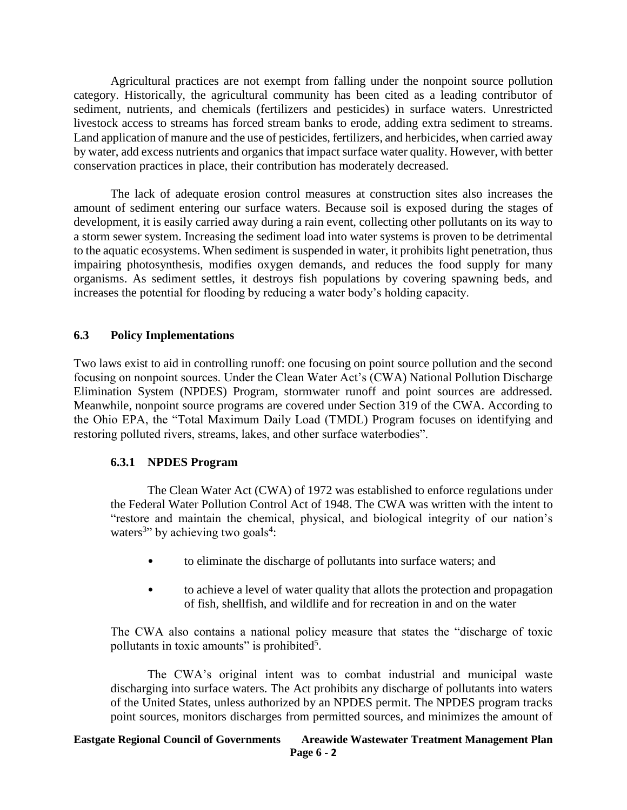Agricultural practices are not exempt from falling under the nonpoint source pollution category. Historically, the agricultural community has been cited as a leading contributor of sediment, nutrients, and chemicals (fertilizers and pesticides) in surface waters. Unrestricted livestock access to streams has forced stream banks to erode, adding extra sediment to streams. Land application of manure and the use of pesticides, fertilizers, and herbicides, when carried away by water, add excess nutrients and organics that impact surface water quality. However, with better conservation practices in place, their contribution has moderately decreased.

The lack of adequate erosion control measures at construction sites also increases the amount of sediment entering our surface waters. Because soil is exposed during the stages of development, it is easily carried away during a rain event, collecting other pollutants on its way to a storm sewer system. Increasing the sediment load into water systems is proven to be detrimental to the aquatic ecosystems. When sediment is suspended in water, it prohibits light penetration, thus impairing photosynthesis, modifies oxygen demands, and reduces the food supply for many organisms. As sediment settles, it destroys fish populations by covering spawning beds, and increases the potential for flooding by reducing a water body's holding capacity.

# **6.3 Policy Implementations**

Two laws exist to aid in controlling runoff: one focusing on point source pollution and the second focusing on nonpoint sources. Under the Clean Water Act's (CWA) National Pollution Discharge Elimination System (NPDES) Program, stormwater runoff and point sources are addressed. Meanwhile, nonpoint source programs are covered under Section 319 of the CWA. According to the Ohio EPA, the "Total Maximum Daily Load (TMDL) Program focuses on identifying and restoring polluted rivers, streams, lakes, and other surface waterbodies".

# **6.3.1 NPDES Program**

The Clean Water Act (CWA) of 1972 was established to enforce regulations under the Federal Water Pollution Control Act of 1948. The CWA was written with the intent to "restore and maintain the chemical, physical, and biological integrity of our nation's waters<sup>3</sup><sup>3</sup> by achieving two goals<sup>4</sup>:

- to eliminate the discharge of pollutants into surface waters; and
- to achieve a level of water quality that allots the protection and propagation of fish, shellfish, and wildlife and for recreation in and on the water

The CWA also contains a national policy measure that states the "discharge of toxic pollutants in toxic amounts" is prohibited<sup>5</sup>.

The CWA's original intent was to combat industrial and municipal waste discharging into surface waters. The Act prohibits any discharge of pollutants into waters of the United States, unless authorized by an NPDES permit. The NPDES program tracks point sources, monitors discharges from permitted sources, and minimizes the amount of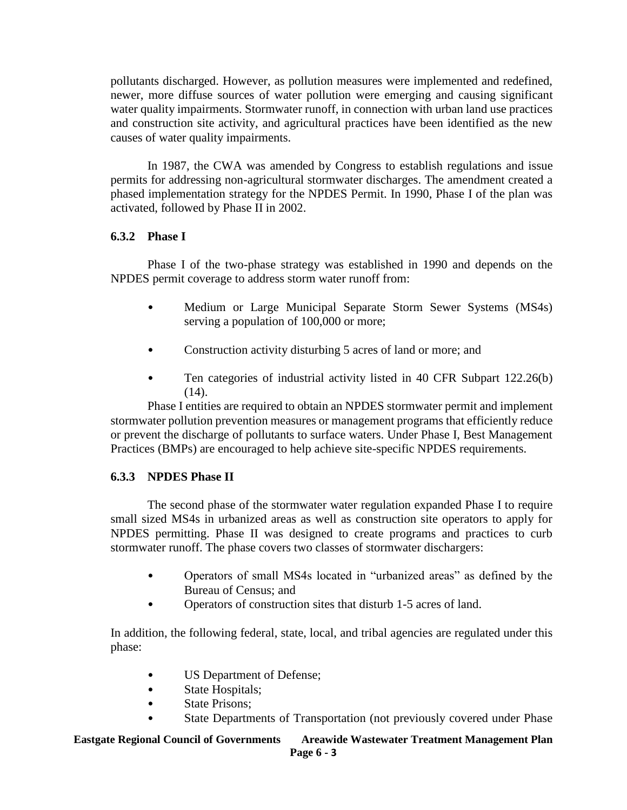pollutants discharged. However, as pollution measures were implemented and redefined, newer, more diffuse sources of water pollution were emerging and causing significant water quality impairments. Stormwater runoff, in connection with urban land use practices and construction site activity, and agricultural practices have been identified as the new causes of water quality impairments.

In 1987, the CWA was amended by Congress to establish regulations and issue permits for addressing non-agricultural stormwater discharges. The amendment created a phased implementation strategy for the NPDES Permit. In 1990, Phase I of the plan was activated, followed by Phase II in 2002.

# **6.3.2 Phase I**

Phase I of the two-phase strategy was established in 1990 and depends on the NPDES permit coverage to address storm water runoff from:

- Medium or Large Municipal Separate Storm Sewer Systems (MS4s) serving a population of 100,000 or more;
- Construction activity disturbing 5 acres of land or more; and
- Ten categories of industrial activity listed in 40 CFR Subpart 122.26(b)  $(14)$ .

Phase I entities are required to obtain an NPDES stormwater permit and implement stormwater pollution prevention measures or management programs that efficiently reduce or prevent the discharge of pollutants to surface waters. Under Phase I, Best Management Practices (BMPs) are encouraged to help achieve site-specific NPDES requirements.

# **6.3.3 NPDES Phase II**

The second phase of the stormwater water regulation expanded Phase I to require small sized MS4s in urbanized areas as well as construction site operators to apply for NPDES permitting. Phase II was designed to create programs and practices to curb stormwater runoff. The phase covers two classes of stormwater dischargers:

- Operators of small MS4s located in "urbanized areas" as defined by the Bureau of Census; and
- Operators of construction sites that disturb 1-5 acres of land.

In addition, the following federal, state, local, and tribal agencies are regulated under this phase:

- US Department of Defense;
- State Hospitals;
- State Prisons;
- State Departments of Transportation (not previously covered under Phase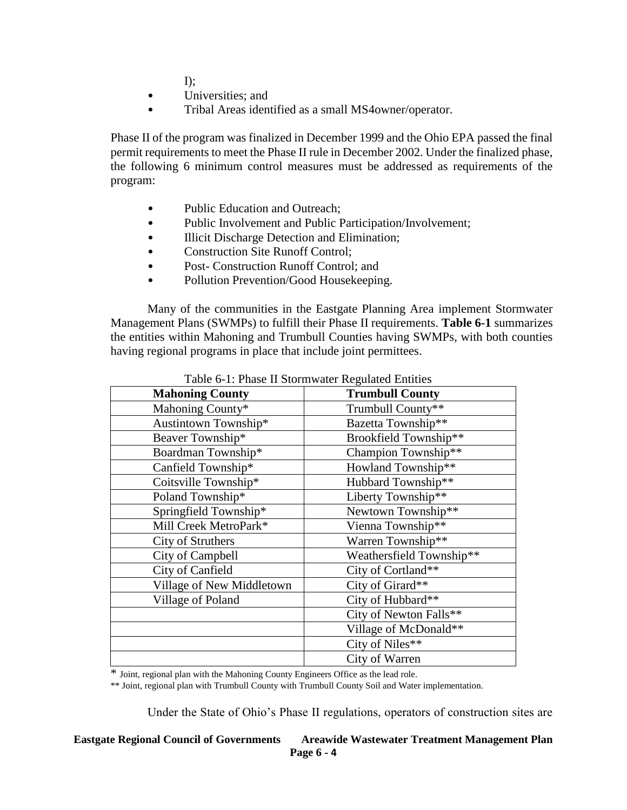$\Gamma$ :

- Universities; and
- Tribal Areas identified as a small MS4owner/operator.

Phase II of the program was finalized in December 1999 and the Ohio EPA passed the final permit requirements to meet the Phase II rule in December 2002. Under the finalized phase, the following 6 minimum control measures must be addressed as requirements of the program:

- Public Education and Outreach;
- Public Involvement and Public Participation/Involvement;
- Illicit Discharge Detection and Elimination;
- Construction Site Runoff Control;
- Post- Construction Runoff Control: and
- Pollution Prevention/Good Housekeeping.

Many of the communities in the Eastgate Planning Area implement Stormwater Management Plans (SWMPs) to fulfill their Phase II requirements. **Table 6-1** summarizes the entities within Mahoning and Trumbull Counties having SWMPs, with both counties having regional programs in place that include joint permittees.

| <b>Mahoning County</b>    | <b>Trumbull County</b>   |
|---------------------------|--------------------------|
| Mahoning County*          | Trumbull County**        |
| Austintown Township*      | Bazetta Township**       |
| Beaver Township*          | Brookfield Township**    |
| Boardman Township*        | Champion Township**      |
| Canfield Township*        | Howland Township**       |
| Coitsville Township*      | Hubbard Township**       |
| Poland Township*          | Liberty Township**       |
| Springfield Township*     | Newtown Township**       |
| Mill Creek MetroPark*     | Vienna Township**        |
| City of Struthers         | Warren Township**        |
| City of Campbell          | Weathersfield Township** |
| City of Canfield          | City of Cortland**       |
| Village of New Middletown | City of Girard**         |
| Village of Poland         | City of Hubbard**        |
|                           | City of Newton Falls**   |
|                           | Village of McDonald**    |
|                           | City of Niles**          |
|                           | City of Warren           |

Table 6-1: Phase II Stormwater Regulated Entities

\* Joint, regional plan with the Mahoning County Engineers Office as the lead role.

\*\* Joint, regional plan with Trumbull County with Trumbull County Soil and Water implementation.

Under the State of Ohio's Phase II regulations, operators of construction sites are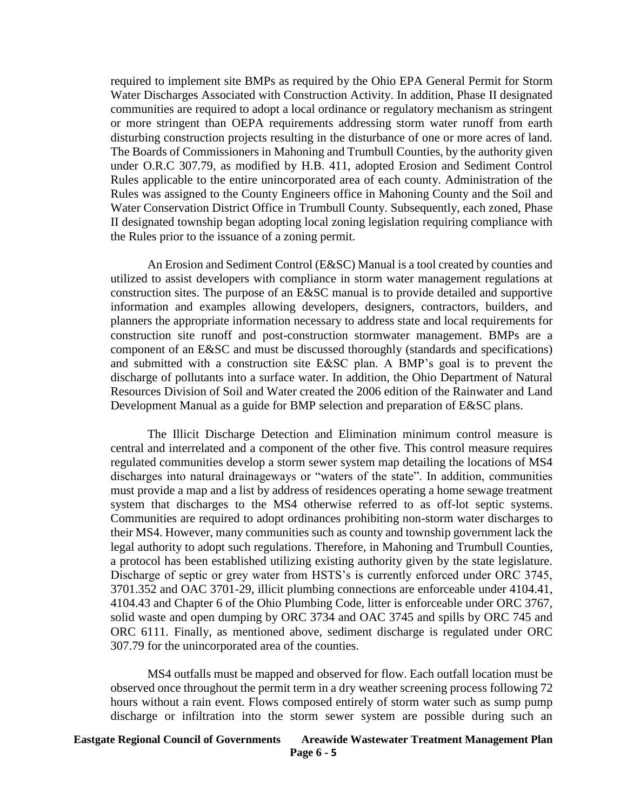required to implement site BMPs as required by the Ohio EPA General Permit for Storm Water Discharges Associated with Construction Activity. In addition, Phase II designated communities are required to adopt a local ordinance or regulatory mechanism as stringent or more stringent than OEPA requirements addressing storm water runoff from earth disturbing construction projects resulting in the disturbance of one or more acres of land. The Boards of Commissioners in Mahoning and Trumbull Counties, by the authority given under O.R.C 307.79, as modified by H.B. 411, adopted Erosion and Sediment Control Rules applicable to the entire unincorporated area of each county. Administration of the Rules was assigned to the County Engineers office in Mahoning County and the Soil and Water Conservation District Office in Trumbull County. Subsequently, each zoned, Phase II designated township began adopting local zoning legislation requiring compliance with the Rules prior to the issuance of a zoning permit.

An Erosion and Sediment Control (E&SC) Manual is a tool created by counties and utilized to assist developers with compliance in storm water management regulations at construction sites. The purpose of an E&SC manual is to provide detailed and supportive information and examples allowing developers, designers, contractors, builders, and planners the appropriate information necessary to address state and local requirements for construction site runoff and post-construction stormwater management. BMPs are a component of an E&SC and must be discussed thoroughly (standards and specifications) and submitted with a construction site E&SC plan. A BMP's goal is to prevent the discharge of pollutants into a surface water. In addition, the Ohio Department of Natural Resources Division of Soil and Water created the 2006 edition of the Rainwater and Land Development Manual as a guide for BMP selection and preparation of E&SC plans.

The Illicit Discharge Detection and Elimination minimum control measure is central and interrelated and a component of the other five. This control measure requires regulated communities develop a storm sewer system map detailing the locations of MS4 discharges into natural drainageways or "waters of the state". In addition, communities must provide a map and a list by address of residences operating a home sewage treatment system that discharges to the MS4 otherwise referred to as off-lot septic systems. Communities are required to adopt ordinances prohibiting non-storm water discharges to their MS4. However, many communities such as county and township government lack the legal authority to adopt such regulations. Therefore, in Mahoning and Trumbull Counties, a protocol has been established utilizing existing authority given by the state legislature. Discharge of septic or grey water from HSTS's is currently enforced under ORC 3745, 3701.352 and OAC 3701-29, illicit plumbing connections are enforceable under 4104.41, 4104.43 and Chapter 6 of the Ohio Plumbing Code, litter is enforceable under ORC 3767, solid waste and open dumping by ORC 3734 and OAC 3745 and spills by ORC 745 and ORC 6111. Finally, as mentioned above, sediment discharge is regulated under ORC 307.79 for the unincorporated area of the counties.

MS4 outfalls must be mapped and observed for flow. Each outfall location must be observed once throughout the permit term in a dry weather screening process following 72 hours without a rain event. Flows composed entirely of storm water such as sump pump discharge or infiltration into the storm sewer system are possible during such an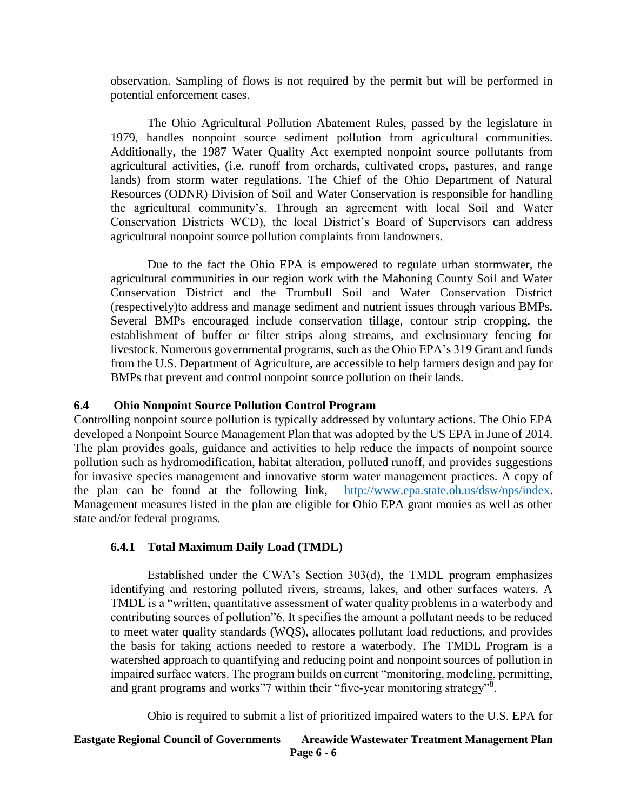observation. Sampling of flows is not required by the permit but will be performed in potential enforcement cases.

The Ohio Agricultural Pollution Abatement Rules, passed by the legislature in 1979, handles nonpoint source sediment pollution from agricultural communities. Additionally, the 1987 Water Quality Act exempted nonpoint source pollutants from agricultural activities, (i.e. runoff from orchards, cultivated crops, pastures, and range lands) from storm water regulations. The Chief of the Ohio Department of Natural Resources (ODNR) Division of Soil and Water Conservation is responsible for handling the agricultural community's. Through an agreement with local Soil and Water Conservation Districts WCD), the local District's Board of Supervisors can address agricultural nonpoint source pollution complaints from landowners.

Due to the fact the Ohio EPA is empowered to regulate urban stormwater, the agricultural communities in our region work with the Mahoning County Soil and Water Conservation District and the Trumbull Soil and Water Conservation District (respectively)to address and manage sediment and nutrient issues through various BMPs. Several BMPs encouraged include conservation tillage, contour strip cropping, the establishment of buffer or filter strips along streams, and exclusionary fencing for livestock. Numerous governmental programs, such as the Ohio EPA's 319 Grant and funds from the U.S. Department of Agriculture, are accessible to help farmers design and pay for BMPs that prevent and control nonpoint source pollution on their lands.

# **6.4 Ohio Nonpoint Source Pollution Control Program**

Controlling nonpoint source pollution is typically addressed by voluntary actions. The Ohio EPA developed a Nonpoint Source Management Plan that was adopted by the US EPA in June of 2014. The plan provides goals, guidance and activities to help reduce the impacts of nonpoint source pollution such as hydromodification, habitat alteration, polluted runoff, and provides suggestions for invasive species management and innovative storm water management practices. A copy of the plan can be found at the following link, [http://www.epa.state.oh.us/dsw/nps/index.](http://www.epa.state.oh.us/dsw/nps/index) Management measures listed in the plan are eligible for Ohio EPA grant monies as well as other state and/or federal programs.

#### **6.4.1 Total Maximum Daily Load (TMDL)**

Established under the CWA's Section 303(d), the TMDL program emphasizes identifying and restoring polluted rivers, streams, lakes, and other surfaces waters. A TMDL is a "written, quantitative assessment of water quality problems in a waterbody and contributing sources of pollution"6. It specifies the amount a pollutant needs to be reduced to meet water quality standards (WQS), allocates pollutant load reductions, and provides the basis for taking actions needed to restore a waterbody. The TMDL Program is a watershed approach to quantifying and reducing point and nonpoint sources of pollution in impaired surface waters. The program builds on current "monitoring, modeling, permitting, and grant programs and works"7 within their "five-year monitoring strategy"<sup>8</sup>.

Ohio is required to submit a list of prioritized impaired waters to the U.S. EPA for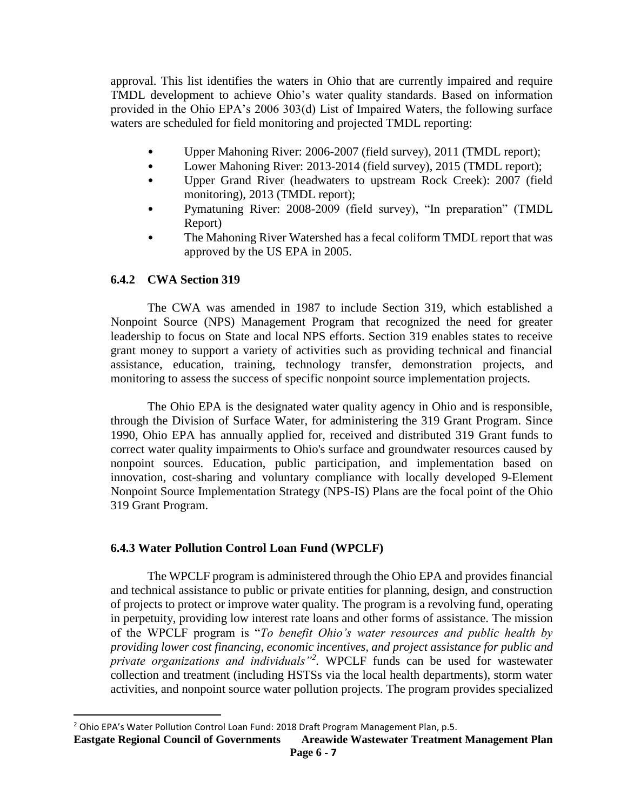approval. This list identifies the waters in Ohio that are currently impaired and require TMDL development to achieve Ohio's water quality standards. Based on information provided in the Ohio EPA's 2006 303(d) List of Impaired Waters, the following surface waters are scheduled for field monitoring and projected TMDL reporting:

- Upper Mahoning River: 2006-2007 (field survey), 2011 (TMDL report);
- Lower Mahoning River: 2013-2014 (field survey), 2015 (TMDL report);
- Upper Grand River (headwaters to upstream Rock Creek): 2007 (field monitoring), 2013 (TMDL report);
- Pymatuning River: 2008-2009 (field survey), "In preparation" (TMDL Report)
- The Mahoning River Watershed has a fecal coliform TMDL report that was approved by the US EPA in 2005.

## **6.4.2 CWA Section 319**

 $\overline{\phantom{a}}$ 

The CWA was amended in 1987 to include Section 319, which established a Nonpoint Source (NPS) Management Program that recognized the need for greater leadership to focus on State and local NPS efforts. Section 319 enables states to receive grant money to support a variety of activities such as providing technical and financial assistance, education, training, technology transfer, demonstration projects, and monitoring to assess the success of specific nonpoint source implementation projects.

The Ohio EPA is the designated water quality agency in Ohio and is responsible, through the Division of Surface Water, for administering the 319 Grant Program. Since 1990, Ohio EPA has annually applied for, received and distributed 319 Grant funds to correct water quality impairments to Ohio's surface and groundwater resources caused by nonpoint sources. Education, public participation, and implementation based on innovation, cost-sharing and voluntary compliance with locally developed 9-Element Nonpoint Source Implementation Strategy (NPS-IS) Plans are the focal point of the Ohio 319 Grant Program.

#### **6.4.3 Water Pollution Control Loan Fund (WPCLF)**

The WPCLF program is administered through the Ohio EPA and provides financial and technical assistance to public or private entities for planning, design, and construction of projects to protect or improve water quality. The program is a revolving fund, operating in perpetuity, providing low interest rate loans and other forms of assistance. The mission of the WPCLF program is "*To benefit Ohio's water resources and public health by providing lower cost financing, economic incentives, and project assistance for public and private organizations and individuals"<sup>2</sup> .* WPCLF funds can be used for wastewater collection and treatment (including HSTSs via the local health departments), storm water activities, and nonpoint source water pollution projects. The program provides specialized

<sup>&</sup>lt;sup>2</sup> Ohio EPA's Water Pollution Control Loan Fund: 2018 Draft Program Management Plan, p.5.

**Eastgate Regional Council of Governments Areawide Wastewater Treatment Management Plan**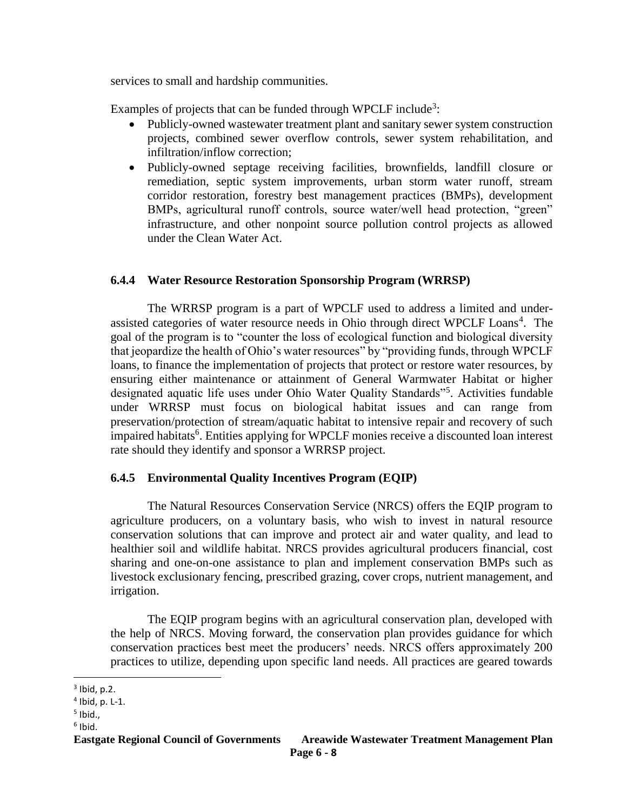services to small and hardship communities.

Examples of projects that can be funded through WPCLF include<sup>3</sup>:

- Publicly-owned wastewater treatment plant and sanitary sewer system construction projects, combined sewer overflow controls, sewer system rehabilitation, and infiltration/inflow correction;
- Publicly-owned septage receiving facilities, brownfields, landfill closure or remediation, septic system improvements, urban storm water runoff, stream corridor restoration, forestry best management practices (BMPs), development BMPs, agricultural runoff controls, source water/well head protection, "green" infrastructure, and other nonpoint source pollution control projects as allowed under the Clean Water Act.

# **6.4.4 Water Resource Restoration Sponsorship Program (WRRSP)**

The WRRSP program is a part of WPCLF used to address a limited and underassisted categories of water resource needs in Ohio through direct WPCLF Loans<sup>4</sup>. The goal of the program is to "counter the loss of ecological function and biological diversity that jeopardize the health of Ohio's water resources" by "providing funds, through WPCLF loans, to finance the implementation of projects that protect or restore water resources, by ensuring either maintenance or attainment of General Warmwater Habitat or higher designated aquatic life uses under Ohio Water Quality Standards"<sup>5</sup>. Activities fundable under WRRSP must focus on biological habitat issues and can range from preservation/protection of stream/aquatic habitat to intensive repair and recovery of such impaired habitats<sup>6</sup>. Entities applying for WPCLF monies receive a discounted loan interest rate should they identify and sponsor a WRRSP project.

# **6.4.5 Environmental Quality Incentives Program (EQIP)**

The Natural Resources Conservation Service (NRCS) offers the EQIP program to agriculture producers, on a voluntary basis, who wish to invest in natural resource conservation solutions that can improve and protect air and water quality, and lead to healthier soil and wildlife habitat. NRCS provides agricultural producers financial, cost sharing and one-on-one assistance to plan and implement conservation BMPs such as livestock exclusionary fencing, prescribed grazing, cover crops, nutrient management, and irrigation.

The EQIP program begins with an agricultural conservation plan, developed with the help of NRCS. Moving forward, the conservation plan provides guidance for which conservation practices best meet the producers' needs. NRCS offers approximately 200 practices to utilize, depending upon specific land needs. All practices are geared towards

5 Ibid.,

 $\overline{a}$ 

 $3$  Ibid, p.2.

<sup>4</sup> Ibid, p. L-1.

<sup>6</sup> Ibid.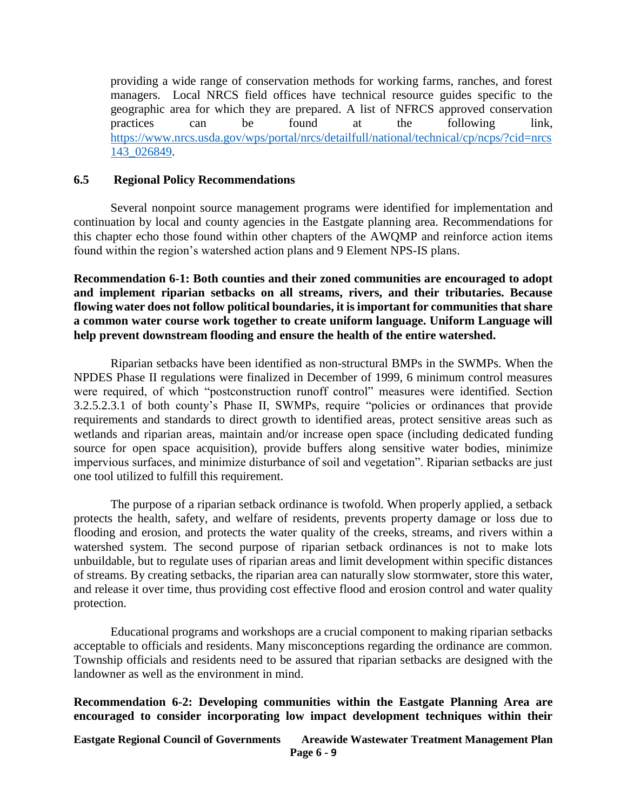providing a wide range of conservation methods for working farms, ranches, and forest managers. Local NRCS field offices have technical resource guides specific to the geographic area for which they are prepared. A list of NFRCS approved conservation practices can be found at the following link, [https://www.nrcs.usda.gov/wps/portal/nrcs/detailfull/national/technical/cp/ncps/?cid=nrcs](https://www.nrcs.usda.gov/wps/portal/nrcs/detailfull/national/technical/cp/ncps/?cid=nrcs143_026849) [143\\_026849.](https://www.nrcs.usda.gov/wps/portal/nrcs/detailfull/national/technical/cp/ncps/?cid=nrcs143_026849)

### **6.5 Regional Policy Recommendations**

Several nonpoint source management programs were identified for implementation and continuation by local and county agencies in the Eastgate planning area. Recommendations for this chapter echo those found within other chapters of the AWQMP and reinforce action items found within the region's watershed action plans and 9 Element NPS-IS plans.

**Recommendation 6-1: Both counties and their zoned communities are encouraged to adopt and implement riparian setbacks on all streams, rivers, and their tributaries. Because flowing water does not follow political boundaries, it is important for communities that share a common water course work together to create uniform language. Uniform Language will help prevent downstream flooding and ensure the health of the entire watershed.**

Riparian setbacks have been identified as non-structural BMPs in the SWMPs. When the NPDES Phase II regulations were finalized in December of 1999, 6 minimum control measures were required, of which "postconstruction runoff control" measures were identified. Section 3.2.5.2.3.1 of both county's Phase II, SWMPs, require "policies or ordinances that provide requirements and standards to direct growth to identified areas, protect sensitive areas such as wetlands and riparian areas, maintain and/or increase open space (including dedicated funding source for open space acquisition), provide buffers along sensitive water bodies, minimize impervious surfaces, and minimize disturbance of soil and vegetation". Riparian setbacks are just one tool utilized to fulfill this requirement.

The purpose of a riparian setback ordinance is twofold. When properly applied, a setback protects the health, safety, and welfare of residents, prevents property damage or loss due to flooding and erosion, and protects the water quality of the creeks, streams, and rivers within a watershed system. The second purpose of riparian setback ordinances is not to make lots unbuildable, but to regulate uses of riparian areas and limit development within specific distances of streams. By creating setbacks, the riparian area can naturally slow stormwater, store this water, and release it over time, thus providing cost effective flood and erosion control and water quality protection.

Educational programs and workshops are a crucial component to making riparian setbacks acceptable to officials and residents. Many misconceptions regarding the ordinance are common. Township officials and residents need to be assured that riparian setbacks are designed with the landowner as well as the environment in mind.

**Recommendation 6-2: Developing communities within the Eastgate Planning Area are encouraged to consider incorporating low impact development techniques within their**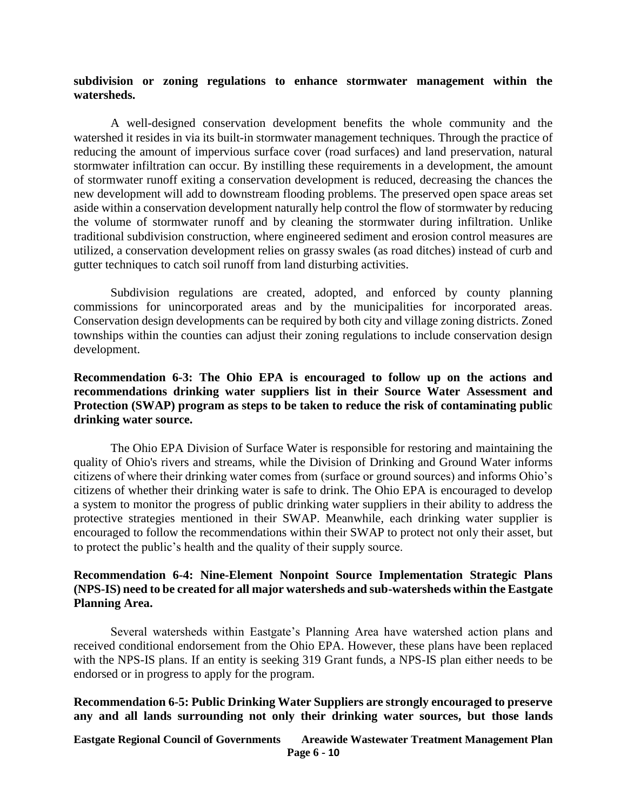#### **subdivision or zoning regulations to enhance stormwater management within the watersheds.**

A well-designed conservation development benefits the whole community and the watershed it resides in via its built-in stormwater management techniques. Through the practice of reducing the amount of impervious surface cover (road surfaces) and land preservation, natural stormwater infiltration can occur. By instilling these requirements in a development, the amount of stormwater runoff exiting a conservation development is reduced, decreasing the chances the new development will add to downstream flooding problems. The preserved open space areas set aside within a conservation development naturally help control the flow of stormwater by reducing the volume of stormwater runoff and by cleaning the stormwater during infiltration. Unlike traditional subdivision construction, where engineered sediment and erosion control measures are utilized, a conservation development relies on grassy swales (as road ditches) instead of curb and gutter techniques to catch soil runoff from land disturbing activities.

Subdivision regulations are created, adopted, and enforced by county planning commissions for unincorporated areas and by the municipalities for incorporated areas. Conservation design developments can be required by both city and village zoning districts. Zoned townships within the counties can adjust their zoning regulations to include conservation design development.

# **Recommendation 6-3: The Ohio EPA is encouraged to follow up on the actions and recommendations drinking water suppliers list in their Source Water Assessment and Protection (SWAP) program as steps to be taken to reduce the risk of contaminating public drinking water source.**

The Ohio EPA Division of Surface Water is responsible for restoring and maintaining the quality of Ohio's rivers and streams, while the Division of Drinking and Ground Water informs citizens of where their drinking water comes from (surface or ground sources) and informs Ohio's citizens of whether their drinking water is safe to drink. The Ohio EPA is encouraged to develop a system to monitor the progress of public drinking water suppliers in their ability to address the protective strategies mentioned in their SWAP. Meanwhile, each drinking water supplier is encouraged to follow the recommendations within their SWAP to protect not only their asset, but to protect the public's health and the quality of their supply source.

### **Recommendation 6-4: Nine-Element Nonpoint Source Implementation Strategic Plans (NPS-IS) need to be created for all major watersheds and sub-watersheds within the Eastgate Planning Area.**

Several watersheds within Eastgate's Planning Area have watershed action plans and received conditional endorsement from the Ohio EPA. However, these plans have been replaced with the NPS-IS plans. If an entity is seeking 319 Grant funds, a NPS-IS plan either needs to be endorsed or in progress to apply for the program.

#### **Recommendation 6-5: Public Drinking Water Suppliers are strongly encouraged to preserve any and all lands surrounding not only their drinking water sources, but those lands**